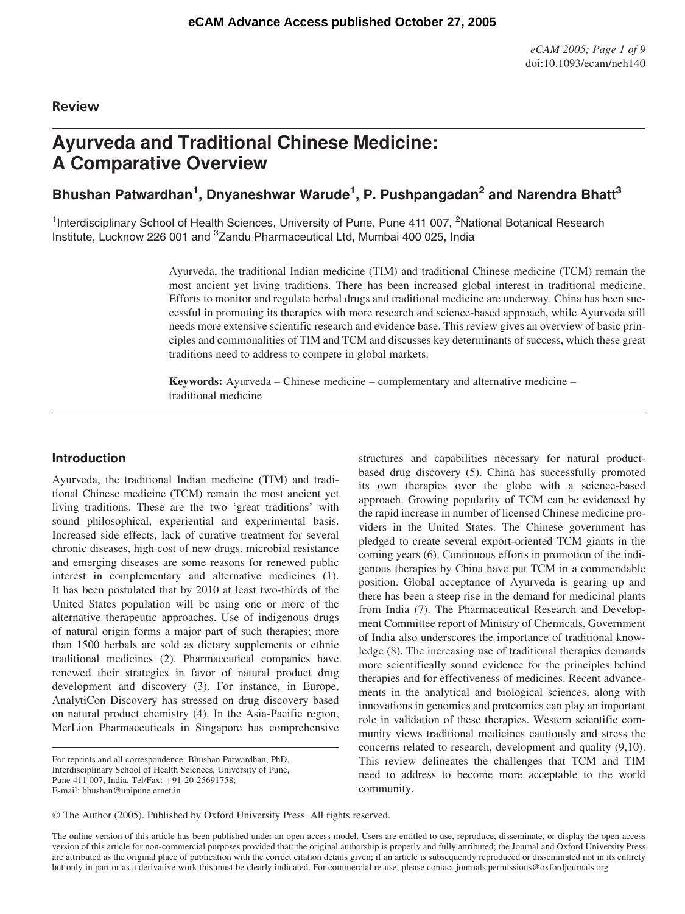## Review

# Ayurveda and Traditional Chinese Medicine: A Comparative Overview

## Bhushan Patwardhan<sup>1</sup>, Dnyaneshwar Warude<sup>1</sup>, P. Pushpangadan<sup>2</sup> and Narendra Bhatt<sup>3</sup>

<sup>1</sup>Interdisciplinary School of Health Sciences, University of Pune, Pune 411 007, <sup>2</sup>National Botanical Research Institute, Lucknow 226 001 and <sup>3</sup>Zandu Pharmaceutical Ltd, Mumbai 400 025, India

> Ayurveda, the traditional Indian medicine (TIM) and traditional Chinese medicine (TCM) remain the most ancient yet living traditions. There has been increased global interest in traditional medicine. Efforts to monitor and regulate herbal drugs and traditional medicine are underway. China has been successful in promoting its therapies with more research and science-based approach, while Ayurveda still needs more extensive scientific research and evidence base. This review gives an overview of basic principles and commonalities of TIM and TCM and discusses key determinants of success, which these great traditions need to address to compete in global markets.

Keywords: Ayurveda – Chinese medicine – complementary and alternative medicine – traditional medicine

## Introduction

Ayurveda, the traditional Indian medicine (TIM) and traditional Chinese medicine (TCM) remain the most ancient yet living traditions. These are the two 'great traditions' with sound philosophical, experiential and experimental basis. Increased side effects, lack of curative treatment for several chronic diseases, high cost of new drugs, microbial resistance and emerging diseases are some reasons for renewed public interest in complementary and alternative medicines (1). It has been postulated that by 2010 at least two-thirds of the United States population will be using one or more of the alternative therapeutic approaches. Use of indigenous drugs of natural origin forms a major part of such therapies; more than 1500 herbals are sold as dietary supplements or ethnic traditional medicines (2). Pharmaceutical companies have renewed their strategies in favor of natural product drug development and discovery (3). For instance, in Europe, AnalytiCon Discovery has stressed on drug discovery based on natural product chemistry (4). In the Asia-Pacific region, MerLion Pharmaceuticals in Singapore has comprehensive

structures and capabilities necessary for natural productbased drug discovery (5). China has successfully promoted its own therapies over the globe with a science-based approach. Growing popularity of TCM can be evidenced by the rapid increase in number of licensed Chinese medicine providers in the United States. The Chinese government has pledged to create several export-oriented TCM giants in the coming years (6). Continuous efforts in promotion of the indigenous therapies by China have put TCM in a commendable position. Global acceptance of Ayurveda is gearing up and there has been a steep rise in the demand for medicinal plants from India (7). The Pharmaceutical Research and Development Committee report of Ministry of Chemicals, Government of India also underscores the importance of traditional knowledge (8). The increasing use of traditional therapies demands more scientifically sound evidence for the principles behind therapies and for effectiveness of medicines. Recent advancements in the analytical and biological sciences, along with innovations in genomics and proteomics can play an important role in validation of these therapies. Western scientific community views traditional medicines cautiously and stress the concerns related to research, development and quality (9,10). This review delineates the challenges that TCM and TIM need to address to become more acceptable to the world community.

The Author (2005). Published by Oxford University Press. All rights reserved.

The online version of this article has been published under an open access model. Users are entitled to use, reproduce, disseminate, or display the open access version of this article for non-commercial purposes provided that: the original authorship is properly and fully attributed; the Journal and Oxford University Press are attributed as the original place of publication with the correct citation details given; if an article is subsequently reproduced or disseminated not in its entirety but only in part or as a derivative work this must be clearly indicated. For commercial re-use, please contact journals.permissions@oxfordjournals.org

For reprints and all correspondence: Bhushan Patwardhan, PhD, Interdisciplinary School of Health Sciences, University of Pune, Pune  $411\overline{007}$ , India. Tel/Fax:  $+91-20-25691758$ ; E-mail: bhushan@unipune.ernet.in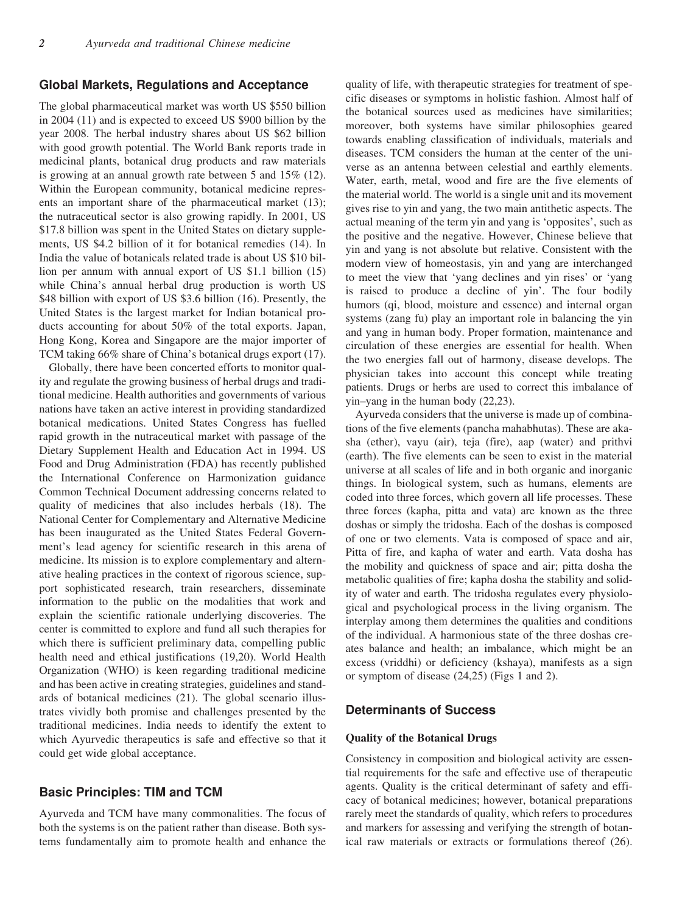## Global Markets, Regulations and Acceptance

The global pharmaceutical market was worth US \$550 billion in 2004 (11) and is expected to exceed US \$900 billion by the year 2008. The herbal industry shares about US \$62 billion with good growth potential. The World Bank reports trade in medicinal plants, botanical drug products and raw materials is growing at an annual growth rate between 5 and 15% (12). Within the European community, botanical medicine represents an important share of the pharmaceutical market (13); the nutraceutical sector is also growing rapidly. In 2001, US \$17.8 billion was spent in the United States on dietary supplements, US \$4.2 billion of it for botanical remedies (14). In India the value of botanicals related trade is about US \$10 billion per annum with annual export of US \$1.1 billion (15) while China's annual herbal drug production is worth US \$48 billion with export of US \$3.6 billion (16). Presently, the United States is the largest market for Indian botanical products accounting for about 50% of the total exports. Japan, Hong Kong, Korea and Singapore are the major importer of TCM taking 66% share of China's botanical drugs export (17).

Globally, there have been concerted efforts to monitor quality and regulate the growing business of herbal drugs and traditional medicine. Health authorities and governments of various nations have taken an active interest in providing standardized botanical medications. United States Congress has fuelled rapid growth in the nutraceutical market with passage of the Dietary Supplement Health and Education Act in 1994. US Food and Drug Administration (FDA) has recently published the International Conference on Harmonization guidance Common Technical Document addressing concerns related to quality of medicines that also includes herbals (18). The National Center for Complementary and Alternative Medicine has been inaugurated as the United States Federal Government's lead agency for scientific research in this arena of medicine. Its mission is to explore complementary and alternative healing practices in the context of rigorous science, support sophisticated research, train researchers, disseminate information to the public on the modalities that work and explain the scientific rationale underlying discoveries. The center is committed to explore and fund all such therapies for which there is sufficient preliminary data, compelling public health need and ethical justifications (19,20). World Health Organization (WHO) is keen regarding traditional medicine and has been active in creating strategies, guidelines and standards of botanical medicines (21). The global scenario illustrates vividly both promise and challenges presented by the traditional medicines. India needs to identify the extent to which Ayurvedic therapeutics is safe and effective so that it could get wide global acceptance.

## Basic Principles: TIM and TCM

Ayurveda and TCM have many commonalities. The focus of both the systems is on the patient rather than disease. Both systems fundamentally aim to promote health and enhance the

quality of life, with therapeutic strategies for treatment of specific diseases or symptoms in holistic fashion. Almost half of the botanical sources used as medicines have similarities; moreover, both systems have similar philosophies geared towards enabling classification of individuals, materials and diseases. TCM considers the human at the center of the universe as an antenna between celestial and earthly elements. Water, earth, metal, wood and fire are the five elements of the material world. The world is a single unit and its movement gives rise to yin and yang, the two main antithetic aspects. The actual meaning of the term yin and yang is 'opposites', such as the positive and the negative. However, Chinese believe that yin and yang is not absolute but relative. Consistent with the modern view of homeostasis, yin and yang are interchanged to meet the view that 'yang declines and yin rises' or 'yang is raised to produce a decline of yin'. The four bodily humors (qi, blood, moisture and essence) and internal organ systems (zang fu) play an important role in balancing the yin and yang in human body. Proper formation, maintenance and circulation of these energies are essential for health. When the two energies fall out of harmony, disease develops. The physician takes into account this concept while treating patients. Drugs or herbs are used to correct this imbalance of yin–yang in the human body (22,23).

Ayurveda considers that the universe is made up of combinations of the five elements (pancha mahabhutas). These are akasha (ether), vayu (air), teja (fire), aap (water) and prithvi (earth). The five elements can be seen to exist in the material universe at all scales of life and in both organic and inorganic things. In biological system, such as humans, elements are coded into three forces, which govern all life processes. These three forces (kapha, pitta and vata) are known as the three doshas or simply the tridosha. Each of the doshas is composed of one or two elements. Vata is composed of space and air, Pitta of fire, and kapha of water and earth. Vata dosha has the mobility and quickness of space and air; pitta dosha the metabolic qualities of fire; kapha dosha the stability and solidity of water and earth. The tridosha regulates every physiological and psychological process in the living organism. The interplay among them determines the qualities and conditions of the individual. A harmonious state of the three doshas creates balance and health; an imbalance, which might be an excess (vriddhi) or deficiency (kshaya), manifests as a sign or symptom of disease (24,25) (Figs 1 and 2).

## Determinants of Success

#### Quality of the Botanical Drugs

Consistency in composition and biological activity are essential requirements for the safe and effective use of therapeutic agents. Quality is the critical determinant of safety and efficacy of botanical medicines; however, botanical preparations rarely meet the standards of quality, which refers to procedures and markers for assessing and verifying the strength of botanical raw materials or extracts or formulations thereof (26).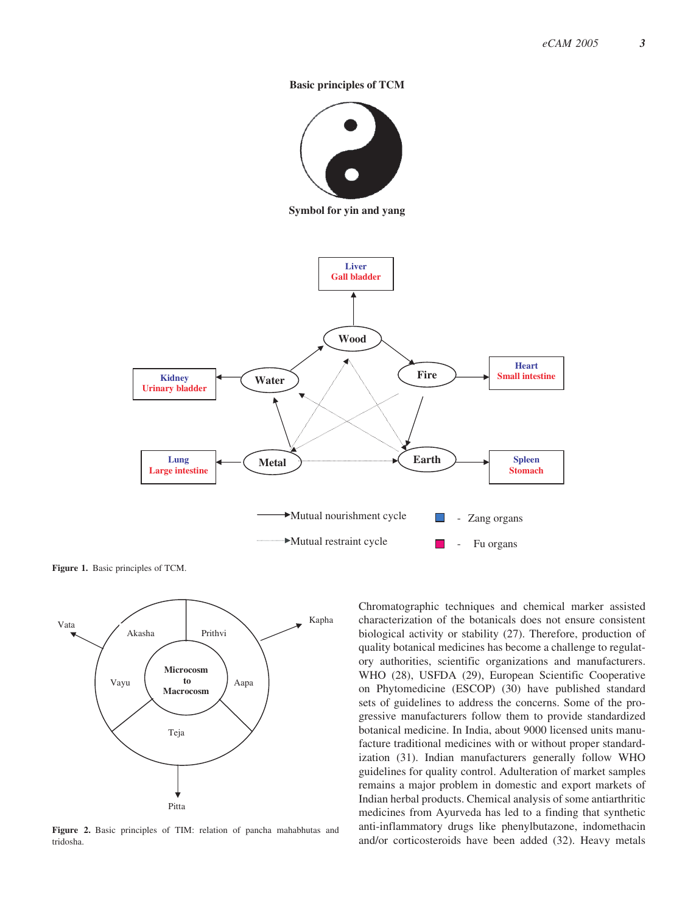#### **Basic principles of TCM**



Figure 1. Basic principles of TCM.



Figure 2. Basic principles of TIM: relation of pancha mahabhutas and tridosha.

Chromatographic techniques and chemical marker assisted characterization of the botanicals does not ensure consistent biological activity or stability (27). Therefore, production of quality botanical medicines has become a challenge to regulatory authorities, scientific organizations and manufacturers. WHO (28), USFDA (29), European Scientific Cooperative on Phytomedicine (ESCOP) (30) have published standard sets of guidelines to address the concerns. Some of the progressive manufacturers follow them to provide standardized botanical medicine. In India, about 9000 licensed units manufacture traditional medicines with or without proper standardization (31). Indian manufacturers generally follow WHO guidelines for quality control. Adulteration of market samples remains a major problem in domestic and export markets of Indian herbal products. Chemical analysis of some antiarthritic medicines from Ayurveda has led to a finding that synthetic anti-inflammatory drugs like phenylbutazone, indomethacin and/or corticosteroids have been added (32). Heavy metals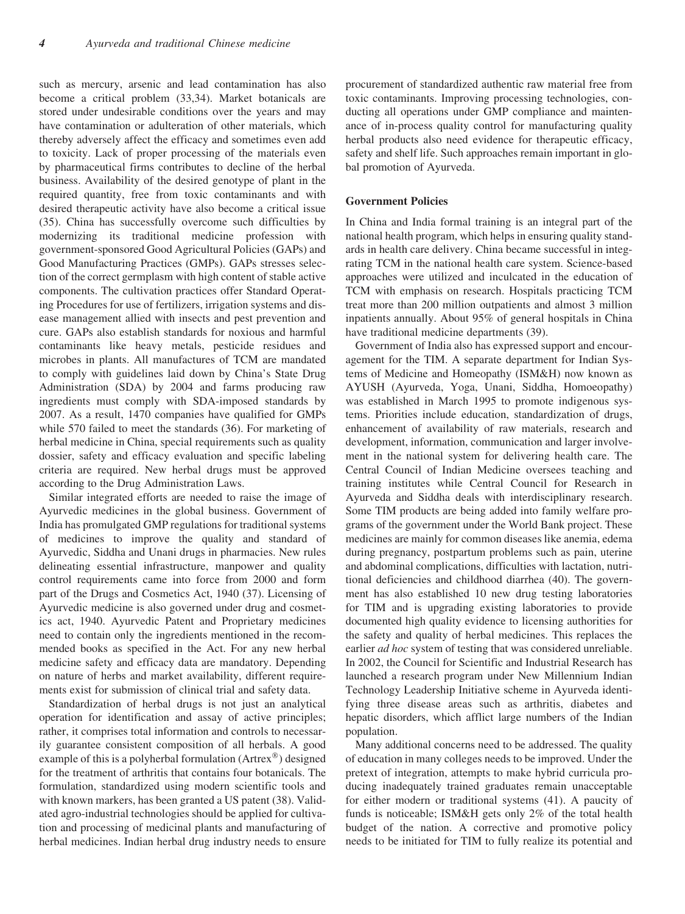such as mercury, arsenic and lead contamination has also become a critical problem (33,34). Market botanicals are stored under undesirable conditions over the years and may have contamination or adulteration of other materials, which thereby adversely affect the efficacy and sometimes even add to toxicity. Lack of proper processing of the materials even by pharmaceutical firms contributes to decline of the herbal business. Availability of the desired genotype of plant in the required quantity, free from toxic contaminants and with desired therapeutic activity have also become a critical issue (35). China has successfully overcome such difficulties by modernizing its traditional medicine profession with government-sponsored Good Agricultural Policies (GAPs) and Good Manufacturing Practices (GMPs). GAPs stresses selection of the correct germplasm with high content of stable active components. The cultivation practices offer Standard Operating Procedures for use of fertilizers, irrigation systems and disease management allied with insects and pest prevention and cure. GAPs also establish standards for noxious and harmful contaminants like heavy metals, pesticide residues and microbes in plants. All manufactures of TCM are mandated to comply with guidelines laid down by China's State Drug Administration (SDA) by 2004 and farms producing raw ingredients must comply with SDA-imposed standards by 2007. As a result, 1470 companies have qualified for GMPs while 570 failed to meet the standards (36). For marketing of herbal medicine in China, special requirements such as quality dossier, safety and efficacy evaluation and specific labeling criteria are required. New herbal drugs must be approved according to the Drug Administration Laws.

Similar integrated efforts are needed to raise the image of Ayurvedic medicines in the global business. Government of India has promulgated GMP regulations for traditional systems of medicines to improve the quality and standard of Ayurvedic, Siddha and Unani drugs in pharmacies. New rules delineating essential infrastructure, manpower and quality control requirements came into force from 2000 and form part of the Drugs and Cosmetics Act, 1940 (37). Licensing of Ayurvedic medicine is also governed under drug and cosmetics act, 1940. Ayurvedic Patent and Proprietary medicines need to contain only the ingredients mentioned in the recommended books as specified in the Act. For any new herbal medicine safety and efficacy data are mandatory. Depending on nature of herbs and market availability, different requirements exist for submission of clinical trial and safety data.

Standardization of herbal drugs is not just an analytical operation for identification and assay of active principles; rather, it comprises total information and controls to necessarily guarantee consistent composition of all herbals. A good example of this is a polyherbal formulation (Artrex®) designed for the treatment of arthritis that contains four botanicals. The formulation, standardized using modern scientific tools and with known markers, has been granted a US patent (38). Validated agro-industrial technologies should be applied for cultivation and processing of medicinal plants and manufacturing of herbal medicines. Indian herbal drug industry needs to ensure procurement of standardized authentic raw material free from toxic contaminants. Improving processing technologies, conducting all operations under GMP compliance and maintenance of in-process quality control for manufacturing quality herbal products also need evidence for therapeutic efficacy, safety and shelf life. Such approaches remain important in global promotion of Ayurveda.

#### Government Policies

In China and India formal training is an integral part of the national health program, which helps in ensuring quality standards in health care delivery. China became successful in integrating TCM in the national health care system. Science-based approaches were utilized and inculcated in the education of TCM with emphasis on research. Hospitals practicing TCM treat more than 200 million outpatients and almost 3 million inpatients annually. About 95% of general hospitals in China have traditional medicine departments (39).

Government of India also has expressed support and encouragement for the TIM. A separate department for Indian Systems of Medicine and Homeopathy (ISM&H) now known as AYUSH (Ayurveda, Yoga, Unani, Siddha, Homoeopathy) was established in March 1995 to promote indigenous systems. Priorities include education, standardization of drugs, enhancement of availability of raw materials, research and development, information, communication and larger involvement in the national system for delivering health care. The Central Council of Indian Medicine oversees teaching and training institutes while Central Council for Research in Ayurveda and Siddha deals with interdisciplinary research. Some TIM products are being added into family welfare programs of the government under the World Bank project. These medicines are mainly for common diseases like anemia, edema during pregnancy, postpartum problems such as pain, uterine and abdominal complications, difficulties with lactation, nutritional deficiencies and childhood diarrhea (40). The government has also established 10 new drug testing laboratories for TIM and is upgrading existing laboratories to provide documented high quality evidence to licensing authorities for the safety and quality of herbal medicines. This replaces the earlier ad hoc system of testing that was considered unreliable. In 2002, the Council for Scientific and Industrial Research has launched a research program under New Millennium Indian Technology Leadership Initiative scheme in Ayurveda identifying three disease areas such as arthritis, diabetes and hepatic disorders, which afflict large numbers of the Indian population.

Many additional concerns need to be addressed. The quality of education in many colleges needs to be improved. Under the pretext of integration, attempts to make hybrid curricula producing inadequately trained graduates remain unacceptable for either modern or traditional systems (41). A paucity of funds is noticeable; ISM&H gets only 2% of the total health budget of the nation. A corrective and promotive policy needs to be initiated for TIM to fully realize its potential and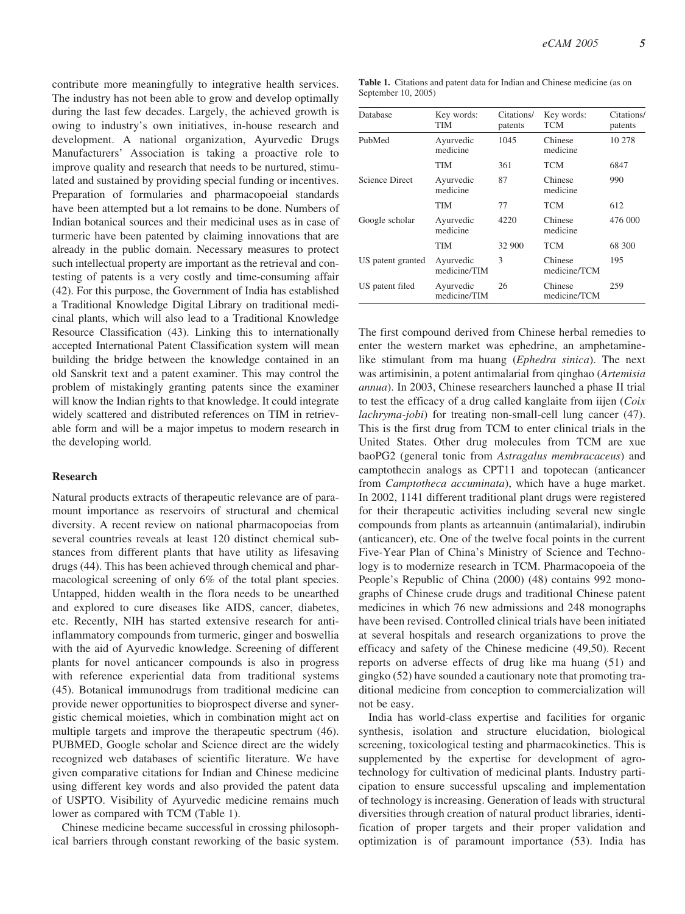contribute more meaningfully to integrative health services. The industry has not been able to grow and develop optimally during the last few decades. Largely, the achieved growth is owing to industry's own initiatives, in-house research and development. A national organization, Ayurvedic Drugs Manufacturers' Association is taking a proactive role to improve quality and research that needs to be nurtured, stimulated and sustained by providing special funding or incentives. Preparation of formularies and pharmacopoeial standards have been attempted but a lot remains to be done. Numbers of Indian botanical sources and their medicinal uses as in case of turmeric have been patented by claiming innovations that are already in the public domain. Necessary measures to protect such intellectual property are important as the retrieval and contesting of patents is a very costly and time-consuming affair (42). For this purpose, the Government of India has established a Traditional Knowledge Digital Library on traditional medicinal plants, which will also lead to a Traditional Knowledge Resource Classification (43). Linking this to internationally accepted International Patent Classification system will mean building the bridge between the knowledge contained in an old Sanskrit text and a patent examiner. This may control the problem of mistakingly granting patents since the examiner will know the Indian rights to that knowledge. It could integrate widely scattered and distributed references on TIM in retrievable form and will be a major impetus to modern research in the developing world.

## Research

Natural products extracts of therapeutic relevance are of paramount importance as reservoirs of structural and chemical diversity. A recent review on national pharmacopoeias from several countries reveals at least 120 distinct chemical substances from different plants that have utility as lifesaving drugs (44). This has been achieved through chemical and pharmacological screening of only 6% of the total plant species. Untapped, hidden wealth in the flora needs to be unearthed and explored to cure diseases like AIDS, cancer, diabetes, etc. Recently, NIH has started extensive research for antiinflammatory compounds from turmeric, ginger and boswellia with the aid of Ayurvedic knowledge. Screening of different plants for novel anticancer compounds is also in progress with reference experiential data from traditional systems (45). Botanical immunodrugs from traditional medicine can provide newer opportunities to bioprospect diverse and synergistic chemical moieties, which in combination might act on multiple targets and improve the therapeutic spectrum (46). PUBMED, Google scholar and Science direct are the widely recognized web databases of scientific literature. We have given comparative citations for Indian and Chinese medicine using different key words and also provided the patent data of USPTO. Visibility of Ayurvedic medicine remains much lower as compared with TCM (Table 1).

Chinese medicine became successful in crossing philosophical barriers through constant reworking of the basic system.

Table 1. Citations and patent data for Indian and Chinese medicine (as on September 10, 2005)

| Database              | Key words:<br><b>TIM</b>  | Citations/<br>patents | Key words:<br><b>TCM</b> | Citations/<br>patents |
|-----------------------|---------------------------|-----------------------|--------------------------|-----------------------|
| PubMed                | Ayurvedic<br>medicine     | 1045                  | Chinese<br>medicine      | 10 278                |
|                       | TIM                       | 361                   | <b>TCM</b>               | 6847                  |
| <b>Science Direct</b> | Ayurvedic<br>medicine     | 87                    | Chinese<br>medicine      | 990                   |
|                       | <b>TIM</b>                | 77                    | <b>TCM</b>               | 612                   |
| Google scholar        | Ayurvedic<br>medicine     | 4220                  | Chinese<br>medicine      | 476 000               |
|                       | TIM                       | 32 900                | <b>TCM</b>               | 68 300                |
| US patent granted     | Ayurvedic<br>medicine/TIM | 3                     | Chinese<br>medicine/TCM  | 195                   |
| US patent filed       | Ayurvedic<br>medicine/TIM | 26                    | Chinese<br>medicine/TCM  | 259                   |

The first compound derived from Chinese herbal remedies to enter the western market was ephedrine, an amphetaminelike stimulant from ma huang (Ephedra sinica). The next was artimisinin, a potent antimalarial from qinghao (Artemisia annua). In 2003, Chinese researchers launched a phase II trial to test the efficacy of a drug called kanglaite from iijen  $(Coix)$ lachryma-jobi) for treating non-small-cell lung cancer (47). This is the first drug from TCM to enter clinical trials in the United States. Other drug molecules from TCM are xue baoPG2 (general tonic from Astragalus membracaceus) and camptothecin analogs as CPT11 and topotecan (anticancer from Camptotheca accuminata), which have a huge market. In 2002, 1141 different traditional plant drugs were registered for their therapeutic activities including several new single compounds from plants as arteannuin (antimalarial), indirubin (anticancer), etc. One of the twelve focal points in the current Five-Year Plan of China's Ministry of Science and Technology is to modernize research in TCM. Pharmacopoeia of the People's Republic of China (2000) (48) contains 992 monographs of Chinese crude drugs and traditional Chinese patent medicines in which 76 new admissions and 248 monographs have been revised. Controlled clinical trials have been initiated at several hospitals and research organizations to prove the efficacy and safety of the Chinese medicine (49,50). Recent reports on adverse effects of drug like ma huang (51) and gingko (52) have sounded a cautionary note that promoting traditional medicine from conception to commercialization will not be easy.

India has world-class expertise and facilities for organic synthesis, isolation and structure elucidation, biological screening, toxicological testing and pharmacokinetics. This is supplemented by the expertise for development of agrotechnology for cultivation of medicinal plants. Industry participation to ensure successful upscaling and implementation of technology is increasing. Generation of leads with structural diversities through creation of natural product libraries, identification of proper targets and their proper validation and optimization is of paramount importance (53). India has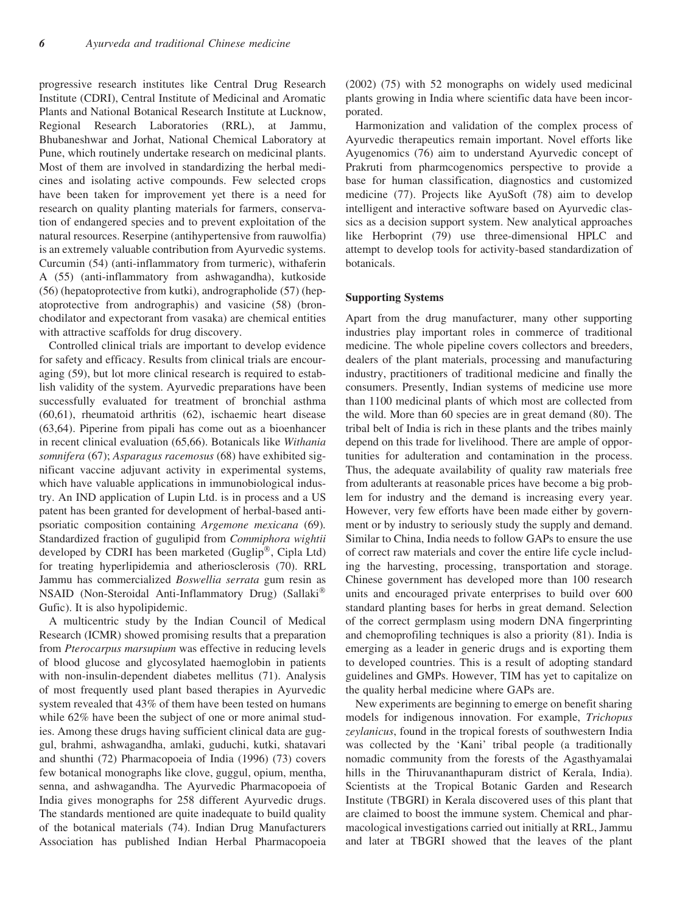progressive research institutes like Central Drug Research Institute (CDRI), Central Institute of Medicinal and Aromatic Plants and National Botanical Research Institute at Lucknow, Regional Research Laboratories (RRL), at Jammu, Bhubaneshwar and Jorhat, National Chemical Laboratory at Pune, which routinely undertake research on medicinal plants. Most of them are involved in standardizing the herbal medicines and isolating active compounds. Few selected crops have been taken for improvement yet there is a need for research on quality planting materials for farmers, conservation of endangered species and to prevent exploitation of the natural resources. Reserpine (antihypertensive from rauwolfia) is an extremely valuable contribution from Ayurvedic systems. Curcumin (54) (anti-inflammatory from turmeric), withaferin A (55) (anti-inflammatory from ashwagandha), kutkoside (56) (hepatoprotective from kutki), andrographolide (57) (hepatoprotective from andrographis) and vasicine (58) (bronchodilator and expectorant from vasaka) are chemical entities with attractive scaffolds for drug discovery.

Controlled clinical trials are important to develop evidence for safety and efficacy. Results from clinical trials are encouraging (59), but lot more clinical research is required to establish validity of the system. Ayurvedic preparations have been successfully evaluated for treatment of bronchial asthma (60,61), rheumatoid arthritis (62), ischaemic heart disease (63,64). Piperine from pipali has come out as a bioenhancer in recent clinical evaluation (65,66). Botanicals like Withania somnifera (67); Asparagus racemosus (68) have exhibited significant vaccine adjuvant activity in experimental systems, which have valuable applications in immunobiological industry. An IND application of Lupin Ltd. is in process and a US patent has been granted for development of herbal-based antipsoriatic composition containing Argemone mexicana (69). Standardized fraction of gugulipid from Commiphora wightii developed by CDRI has been marketed (Guglip®, Cipla Ltd) for treating hyperlipidemia and atheriosclerosis (70). RRL Jammu has commercialized Boswellia serrata gum resin as NSAID (Non-Steroidal Anti-Inflammatory Drug) (Sallaki® Gufic). It is also hypolipidemic.

A multicentric study by the Indian Council of Medical Research (ICMR) showed promising results that a preparation from Pterocarpus marsupium was effective in reducing levels of blood glucose and glycosylated haemoglobin in patients with non-insulin-dependent diabetes mellitus (71). Analysis of most frequently used plant based therapies in Ayurvedic system revealed that 43% of them have been tested on humans while 62% have been the subject of one or more animal studies. Among these drugs having sufficient clinical data are guggul, brahmi, ashwagandha, amlaki, guduchi, kutki, shatavari and shunthi (72) Pharmacopoeia of India (1996) (73) covers few botanical monographs like clove, guggul, opium, mentha, senna, and ashwagandha. The Ayurvedic Pharmacopoeia of India gives monographs for 258 different Ayurvedic drugs. The standards mentioned are quite inadequate to build quality of the botanical materials (74). Indian Drug Manufacturers Association has published Indian Herbal Pharmacopoeia

(2002) (75) with 52 monographs on widely used medicinal plants growing in India where scientific data have been incorporated.

Harmonization and validation of the complex process of Ayurvedic therapeutics remain important. Novel efforts like Ayugenomics (76) aim to understand Ayurvedic concept of Prakruti from pharmcogenomics perspective to provide a base for human classification, diagnostics and customized medicine (77). Projects like AyuSoft (78) aim to develop intelligent and interactive software based on Ayurvedic classics as a decision support system. New analytical approaches like Herboprint (79) use three-dimensional HPLC and attempt to develop tools for activity-based standardization of botanicals.

#### Supporting Systems

Apart from the drug manufacturer, many other supporting industries play important roles in commerce of traditional medicine. The whole pipeline covers collectors and breeders, dealers of the plant materials, processing and manufacturing industry, practitioners of traditional medicine and finally the consumers. Presently, Indian systems of medicine use more than 1100 medicinal plants of which most are collected from the wild. More than 60 species are in great demand (80). The tribal belt of India is rich in these plants and the tribes mainly depend on this trade for livelihood. There are ample of opportunities for adulteration and contamination in the process. Thus, the adequate availability of quality raw materials free from adulterants at reasonable prices have become a big problem for industry and the demand is increasing every year. However, very few efforts have been made either by government or by industry to seriously study the supply and demand. Similar to China, India needs to follow GAPs to ensure the use of correct raw materials and cover the entire life cycle including the harvesting, processing, transportation and storage. Chinese government has developed more than 100 research units and encouraged private enterprises to build over 600 standard planting bases for herbs in great demand. Selection of the correct germplasm using modern DNA fingerprinting and chemoprofiling techniques is also a priority (81). India is emerging as a leader in generic drugs and is exporting them to developed countries. This is a result of adopting standard guidelines and GMPs. However, TIM has yet to capitalize on the quality herbal medicine where GAPs are.

New experiments are beginning to emerge on benefit sharing models for indigenous innovation. For example, Trichopus zeylanicus, found in the tropical forests of southwestern India was collected by the 'Kani' tribal people (a traditionally nomadic community from the forests of the Agasthyamalai hills in the Thiruvananthapuram district of Kerala, India). Scientists at the Tropical Botanic Garden and Research Institute (TBGRI) in Kerala discovered uses of this plant that are claimed to boost the immune system. Chemical and pharmacological investigations carried out initially at RRL, Jammu and later at TBGRI showed that the leaves of the plant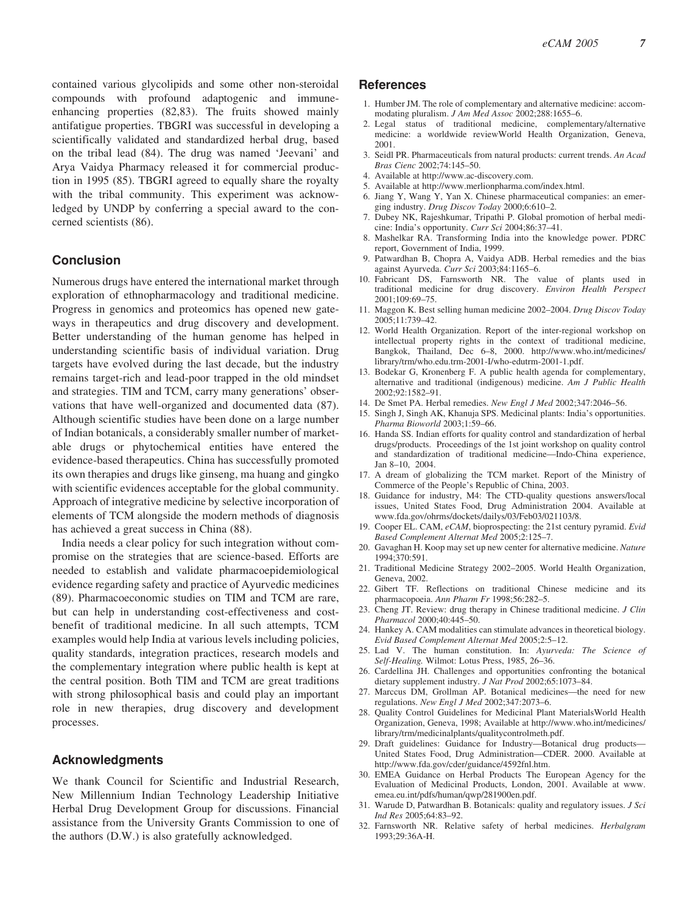contained various glycolipids and some other non-steroidal compounds with profound adaptogenic and immuneenhancing properties (82,83). The fruits showed mainly antifatigue properties. TBGRI was successful in developing a scientifically validated and standardized herbal drug, based on the tribal lead (84). The drug was named 'Jeevani' and Arya Vaidya Pharmacy released it for commercial production in 1995 (85). TBGRI agreed to equally share the royalty with the tribal community. This experiment was acknowledged by UNDP by conferring a special award to the concerned scientists (86).

## Conclusion

Numerous drugs have entered the international market through exploration of ethnopharmacology and traditional medicine. Progress in genomics and proteomics has opened new gateways in therapeutics and drug discovery and development. Better understanding of the human genome has helped in understanding scientific basis of individual variation. Drug targets have evolved during the last decade, but the industry remains target-rich and lead-poor trapped in the old mindset and strategies. TIM and TCM, carry many generations' observations that have well-organized and documented data (87). Although scientific studies have been done on a large number of Indian botanicals, a considerably smaller number of marketable drugs or phytochemical entities have entered the evidence-based therapeutics. China has successfully promoted its own therapies and drugs like ginseng, ma huang and gingko with scientific evidences acceptable for the global community. Approach of integrative medicine by selective incorporation of elements of TCM alongside the modern methods of diagnosis has achieved a great success in China (88).

India needs a clear policy for such integration without compromise on the strategies that are science-based. Efforts are needed to establish and validate pharmacoepidemiological evidence regarding safety and practice of Ayurvedic medicines (89). Pharmacoeconomic studies on TIM and TCM are rare, but can help in understanding cost-effectiveness and costbenefit of traditional medicine. In all such attempts, TCM examples would help India at various levels including policies, quality standards, integration practices, research models and the complementary integration where public health is kept at the central position. Both TIM and TCM are great traditions with strong philosophical basis and could play an important role in new therapies, drug discovery and development processes.

## Acknowledgments

We thank Council for Scientific and Industrial Research, New Millennium Indian Technology Leadership Initiative Herbal Drug Development Group for discussions. Financial assistance from the University Grants Commission to one of the authors (D.W.) is also gratefully acknowledged.

## **References**

- 1. Humber JM. The role of complementary and alternative medicine: accommodating pluralism. J Am Med Assoc 2002;288:1655–6.
- 2. Legal status of traditional medicine, complementary/alternative medicine: a worldwide reviewWorld Health Organization, Geneva, 2001.
- 3. Seidl PR. Pharmaceuticals from natural products: current trends. An Acad Bras Cienc 2002;74:145–50.
- 4. Available at [http://www.ac-discovery.com.](http://www.ac-discovery.com)
- 5. Available at [http://www.merlionpharma.com/index.html.](http://www.merlionpharma.com/index.html)
- 6. Jiang Y, Wang Y, Yan X. Chinese pharmaceutical companies: an emerging industry. Drug Discov Today 2000;6:610–2.
- 7. Dubey NK, Rajeshkumar, Tripathi P. Global promotion of herbal medicine: India's opportunity. Curr Sci 2004;86:37–41.
- 8. Mashelkar RA. Transforming India into the knowledge power. PDRC report, Government of India, 1999.
- 9. Patwardhan B, Chopra A, Vaidya ADB. Herbal remedies and the bias against Ayurveda. Curr Sci 2003;84:1165–6.
- 10. Fabricant DS, Farnsworth NR. The value of plants used in traditional medicine for drug discovery. Environ Health Perspect 2001;109:69–75.
- 11. Maggon K. Best selling human medicine 2002–2004. Drug Discov Today 2005;11:739–42.
- 12. World Health Organization. Report of the inter-regional workshop on intellectual property rights in the context of traditional medicine, Bangkok, Thailand, Dec 6–8, 2000.<http://www.who.int/medicines/> library/trm/who.edu.trm-2001-I/who-edutrm-2001-1.pdf.
- 13. Bodekar G, Kronenberg F. A public health agenda for complementary, alternative and traditional (indigenous) medicine. Am J Public Health 2002;92:1582–91.
- 14. De Smet PA. Herbal remedies. New Engl J Med 2002;347:2046–56.
- 15. Singh J, Singh AK, Khanuja SPS. Medicinal plants: India's opportunities. Pharma Bioworld 2003;1:59–66.
- 16. Handa SS. Indian efforts for quality control and standardization of herbal drugs/products. Proceedings of the 1st joint workshop on quality control and standardization of traditional medicine—Indo-China experience, Jan 8–10, 2004.
- 17. A dream of globalizing the TCM market. Report of the Ministry of Commerce of the People's Republic of China, 2003.
- 18. Guidance for industry, M4: The CTD-quality questions answers/local issues, United States Food, Drug Administration 2004. Available at www.fda.gov/ohrms/dockets/dailys/03/Feb03/021103/8.
- 19. Cooper EL. CAM, eCAM, bioprospecting: the 21st century pyramid. Evid Based Complement Alternat Med 2005;2:125–7.
- 20. Gavaghan H. Koop may set up new center for alternative medicine. Nature 1994;370:591.
- 21. Traditional Medicine Strategy 2002–2005. World Health Organization, Geneva, 2002.
- 22. Gibert TF. Reflections on traditional Chinese medicine and its pharmacopoeia. Ann Pharm Fr 1998;56:282–5.
- 23. Cheng JT. Review: drug therapy in Chinese traditional medicine. J Clin Pharmacol 2000;40:445–50.
- 24. Hankey A. CAM modalities can stimulate advances in theoretical biology. Evid Based Complement Alternat Med 2005;2:5–12.
- 25. Lad V. The human constitution. In: Ayurveda: The Science of Self-Healing. Wilmot: Lotus Press, 1985, 26–36.
- 26. Cardellina JH. Challenges and opportunities confronting the botanical dietary supplement industry. J Nat Prod 2002;65:1073–84.
- 27. Marccus DM, Grollman AP. Botanical medicines—the need for new regulations. New Engl J Med 2002;347:2073–6.
- 28. Quality Control Guidelines for Medicinal Plant MaterialsWorld Health Organization, Geneva, 1998; Available at<http://www.who.int/medicines/> library/trm/medicinalplants/qualitycontrolmeth.pdf.
- 29. Draft guidelines: Guidance for Industry—Botanical drug products— United States Food, Drug Administration—CDER. 2000. Available at [http://www.fda.gov/cder/guidance/4592fnl.htm.](http://www.fda.gov/cder/guidance/4592fnl.htm)
- 30. EMEA Guidance on Herbal Products The European Agency for the Evaluation of Medicinal Products, London, 2001. Available at www. emea.eu.int/pdfs/human/qwp/281900en.pdf.
- 31. Warude D, Patwardhan B. Botanicals: quality and regulatory issues. J Sci Ind Res 2005;64:83–92.
- 32. Farnsworth NR. Relative safety of herbal medicines. Herbalgram 1993;29:36A-H.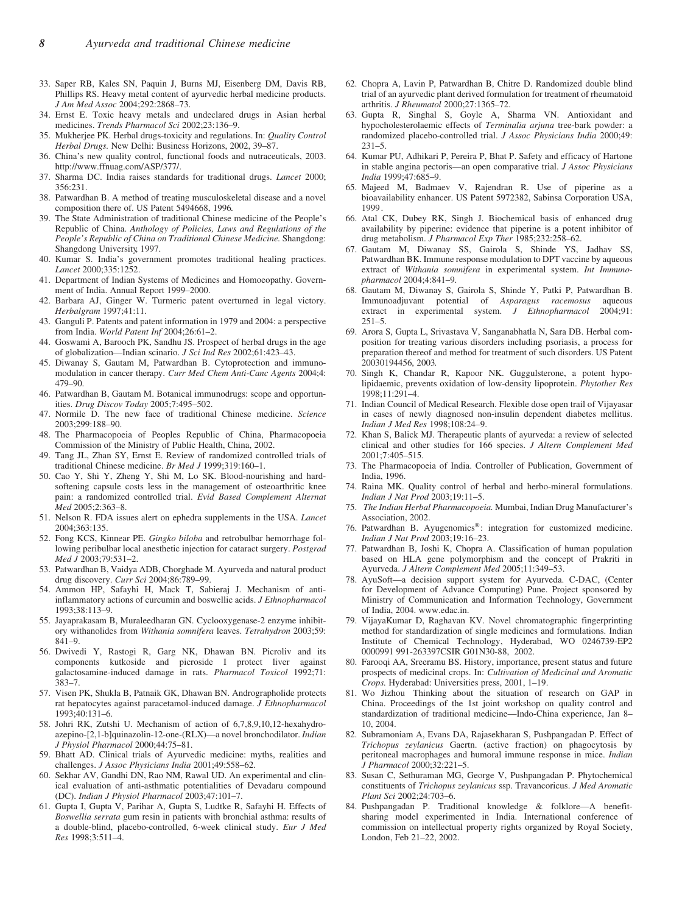- 33. Saper RB, Kales SN, Paquin J, Burns MJ, Eisenberg DM, Davis RB, Phillips RS. Heavy metal content of ayurvedic herbal medicine products. J Am Med Assoc 2004;292:2868–73.
- 34. Ernst E. Toxic heavy metals and undeclared drugs in Asian herbal medicines. Trends Pharmacol Sci 2002;23:136–9.
- 35. Mukherjee PK. Herbal drugs-toxicity and regulations. In: Quality Control Herbal Drugs. New Delhi: Business Horizons, 2002, 39–87.
- 36. China's new quality control, functional foods and nutraceuticals, 2003. [http://www.ffnuag.com/ASP/377/.](http://www.ffnuag.com/ASP/377/)
- 37. Sharma DC. India raises standards for traditional drugs. Lancet 2000; 356:231.
- 38. Patwardhan B. A method of treating musculoskeletal disease and a novel composition there of. US Patent 5494668, 1996.
- 39. The State Administration of traditional Chinese medicine of the People's Republic of China. Anthology of Policies, Laws and Regulations of the People's Republic of China on Traditional Chinese Medicine. Shangdong: Shangdong University, 1997.
- 40. Kumar S. India's government promotes traditional healing practices. Lancet 2000;335:1252.
- 41. Department of Indian Systems of Medicines and Homoeopathy. Government of India. Annual Report 1999–2000.
- 42. Barbara AJ, Ginger W. Turmeric patent overturned in legal victory. Herbalgram 1997;41:11.
- 43. Ganguli P. Patents and patent information in 1979 and 2004: a perspective from India. World Patent Inf 2004;26:61–2.
- 44. Goswami A, Barooch PK, Sandhu JS. Prospect of herbal drugs in the age of globalization—Indian scinario. J Sci Ind Res 2002;61:423–43.
- 45. Diwanay S, Gautam M, Patwardhan B. Cytoprotection and immunomodulation in cancer therapy. Curr Med Chem Anti-Canc Agents 2004;4: 479–90.
- 46. Patwardhan B, Gautam M. Botanical immunodrugs: scope and opportunities. Drug Discov Today 2005;7:495–502.
- 47. Normile D. The new face of traditional Chinese medicine. Science 2003;299:188–90.
- 48. The Pharmacopoeia of Peoples Republic of China, Pharmacopoeia Commission of the Ministry of Public Health, China, 2002.
- 49. Tang JL, Zhan SY, Ernst E. Review of randomized controlled trials of traditional Chinese medicine. Br Med J 1999;319:160–1.
- 50. Cao Y, Shi Y, Zheng Y, Shi M, Lo SK. Blood-nourishing and hardsoftening capsule costs less in the management of osteoarthritic knee pain: a randomized controlled trial. Evid Based Complement Alternat Med 2005;2:363–8.
- 51. Nelson R. FDA issues alert on ephedra supplements in the USA. Lancet 2004;363:135.
- 52. Fong KCS, Kinnear PE. Gingko biloba and retrobulbar hemorrhage following peribulbar local anesthetic injection for cataract surgery. Postgrad Med J 2003;79:531–2.
- 53. Patwardhan B, Vaidya ADB, Chorghade M. Ayurveda and natural product drug discovery. Curr Sci 2004;86:789–99.
- 54. Ammon HP, Safayhi H, Mack T, Sabieraj J. Mechanism of antiinflammatory actions of curcumin and boswellic acids. J Ethnopharmacol 1993;38:113–9.
- 55. Jayaprakasam B, Muraleedharan GN. Cyclooxygenase-2 enzyme inhibitory withanolides from Withania somnifera leaves. Tetrahydron 2003;59: 841–9.
- 56. Dwivedi Y, Rastogi R, Garg NK, Dhawan BN. Picroliv and its components kutkoside and picroside I protect liver against galactosamine-induced damage in rats. Pharmacol Toxicol 1992;71: 383–7.
- 57. Visen PK, Shukla B, Patnaik GK, Dhawan BN. Andrographolide protects rat hepatocytes against paracetamol-induced damage. J Ethnopharmacol 1993;40:131–6.
- 58. Johri RK, Zutshi U. Mechanism of action of 6,7,8,9,10,12-hexahydroazepino-[2,1-b]quinazolin-12-one-(RLX)—a novel bronchodilator. Indian J Physiol Pharmacol 2000;44:75–81.
- 59. Bhatt AD. Clinical trials of Ayurvedic medicine: myths, realities and challenges. J Assoc Physicians India 2001;49:558–62.
- 60. Sekhar AV, Gandhi DN, Rao NM, Rawal UD. An experimental and clinical evaluation of anti-asthmatic potentialities of Devadaru compound (DC). Indian J Physiol Pharmacol 2003;47:101–7.
- 61. Gupta I, Gupta V, Parihar A, Gupta S, Ludtke R, Safayhi H. Effects of Boswellia serrata gum resin in patients with bronchial asthma: results of a double-blind, placebo-controlled, 6-week clinical study. Eur J Med Res 1998;3:511–4.
- 62. Chopra A, Lavin P, Patwardhan B, Chitre D. Randomized double blind trial of an ayurvedic plant derived formulation for treatment of rheumatoid arthritis. J Rheumatol 2000;27:1365–72.
- 63. Gupta R, Singhal S, Goyle A, Sharma VN. Antioxidant and hypocholesterolaemic effects of Terminalia arjuna tree-bark powder: a randomized placebo-controlled trial. J Assoc Physicians India 2000;49: 231–5.
- 64. Kumar PU, Adhikari P, Pereira P, Bhat P. Safety and efficacy of Hartone in stable angina pectoris—an open comparative trial. J Assoc Physicians India 1999;47:685–9.
- 65. Majeed M, Badmaev V, Rajendran R. Use of piperine as a bioavailability enhancer. US Patent 5972382, Sabinsa Corporation USA, 1999.
- 66. Atal CK, Dubey RK, Singh J. Biochemical basis of enhanced drug availability by piperine: evidence that piperine is a potent inhibitor of drug metabolism. J Pharmacol Exp Ther 1985;232:258-62.
- 67. Gautam M, Diwanay SS, Gairola S, Shinde YS, Jadhav SS, Patwardhan BK. Immune response modulation to DPT vaccine by aqueous extract of Withania somnifera in experimental system. Int Immunopharmacol 2004;4:841–9.
- 68. Gautam M, Diwanay S, Gairola S, Shinde Y, Patki P, Patwardhan B. Immunoadjuvant potential of Asparagus racemosus aqueous extract in experimental system. *J Ethnopharmacol* 2004;91: extract in experimental system.  $J$  Ethnopharmacol  $251 - 5$ .
- 69. Arora S, Gupta L, Srivastava V, Sanganabhatla N, Sara DB. Herbal composition for treating various disorders including psoriasis, a process for preparation thereof and method for treatment of such disorders. US Patent 20030194456, 2003.
- 70. Singh K, Chandar R, Kapoor NK. Guggulsterone, a potent hypolipidaemic, prevents oxidation of low-density lipoprotein. Phytother Res 1998;11:291–4.
- 71. Indian Council of Medical Research. Flexible dose open trail of Vijayasar in cases of newly diagnosed non-insulin dependent diabetes mellitus. Indian J Med Res 1998;108:24–9.
- 72. Khan S, Balick MJ. Therapeutic plants of ayurveda: a review of selected clinical and other studies for 166 species. J Altern Complement Med 2001;7:405–515.
- 73. The Pharmacopoeia of India. Controller of Publication, Government of India, 1996.
- 74. Raina MK. Quality control of herbal and herbo-mineral formulations. Indian J Nat Prod 2003;19:11–5.
- 75. The Indian Herbal Pharmacopoeia. Mumbai, Indian Drug Manufacturer's Association, 2002.
- 76. Patwardhan B. Ayugenomics®: integration for customized medicine. Indian J Nat Prod 2003;19:16–23.
- 77. Patwardhan B, Joshi K, Chopra A. Classification of human population based on HLA gene polymorphism and the concept of Prakriti in Ayurveda. J Altern Complement Med 2005;11:349–53.
- 78. AyuSoft—a decision support system for Ayurveda. C-DAC, (Center for Development of Advance Computing) Pune. Project sponsored by Ministry of Communication and Information Technology, Government of India, 2004. www.edac.in.
- 79. VijayaKumar D, Raghavan KV. Novel chromatographic fingerprinting method for standardization of single medicines and formulations. Indian Institute of Chemical Technology, Hyderabad, WO 0246739-EP2 0000991 991-263397CSIR G01N30-88, 2002.
- 80. Farooqi AA, Sreeramu BS. History, importance, present status and future prospects of medicinal crops. In: Cultivation of Medicinal and Aromatic Crops. Hyderabad: Universities press, 2001, 1–19.
- 81. Wo Jizhou Thinking about the situation of research on GAP in China. Proceedings of the 1st joint workshop on quality control and standardization of traditional medicine—Indo-China experience, Jan 8– 10, 2004.
- 82. Subramoniam A, Evans DA, Rajasekharan S, Pushpangadan P. Effect of Trichopus zeylanicus Gaertn. (active fraction) on phagocytosis by peritoneal macrophages and humoral immune response in mice. Indian J Pharmacol 2000;32:221–5.
- 83. Susan C, Sethuraman MG, George V, Pushpangadan P. Phytochemical constituents of Trichopus zeylanicus ssp. Travancoricus. J Med Aromatic Plant Sci 2002;24:703–6.
- 84. Pushpangadan P. Traditional knowledge & folklore—A benefitsharing model experimented in India. International conference of commission on intellectual property rights organized by Royal Society, London, Feb 21–22, 2002.